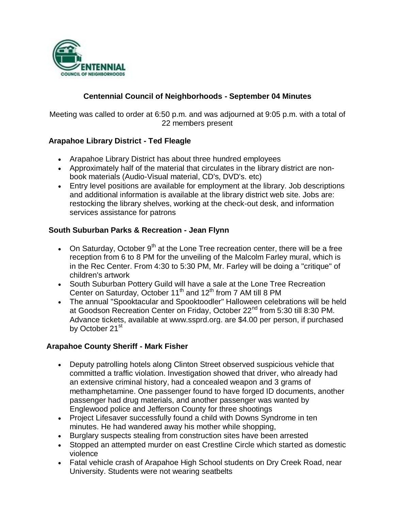

## **Centennial Council of Neighborhoods - September 04 Minutes**

Meeting was called to order at 6:50 p.m. and was adjourned at 9:05 p.m. with a total of 22 members present

### **Arapahoe Library District - Ted Fleagle**

- Arapahoe Library District has about three hundred employees
- Approximately half of the material that circulates in the library district are nonbook materials (Audio-Visual material, CD's, DVD's. etc)
- Entry level positions are available for employment at the library. Job descriptions and additional information is available at the library district web site. Jobs are: restocking the library shelves, working at the check-out desk, and information services assistance for patrons

### **South Suburban Parks & Recreation - Jean Flynn**

- On Saturday, October  $9<sup>th</sup>$  at the Lone Tree recreation center, there will be a free reception from 6 to 8 PM for the unveiling of the Malcolm Farley mural, which is in the Rec Center. From 4:30 to 5:30 PM, Mr. Farley will be doing a "critique" of children's artwork
- South Suburban Pottery Guild will have a sale at the Lone Tree Recreation Center on Saturday, October 11<sup>th</sup> and 12<sup>th</sup> from 7 AM till 8 PM
- The annual "Spooktacular and Spooktoodler" Halloween celebrations will be held at Goodson Recreation Center on Friday, October 22<sup>nd</sup> from 5:30 till 8:30 PM. Advance tickets, available at www.ssprd.org. are \$4.00 per person, if purchased by October 21<sup>st</sup>

#### **Arapahoe County Sheriff - Mark Fisher**

- Deputy patrolling hotels along Clinton Street observed suspicious vehicle that committed a traffic violation. Investigation showed that driver, who already had an extensive criminal history, had a concealed weapon and 3 grams of methamphetamine. One passenger found to have forged ID documents, another passenger had drug materials, and another passenger was wanted by Englewood police and Jefferson County for three shootings
- Project Lifesaver successfully found a child with Downs Syndrome in ten minutes. He had wandered away his mother while shopping,
- Burglary suspects stealing from construction sites have been arrested
- Stopped an attempted murder on east Crestline Circle which started as domestic violence
- Fatal vehicle crash of Arapahoe High School students on Dry Creek Road, near University. Students were not wearing seatbelts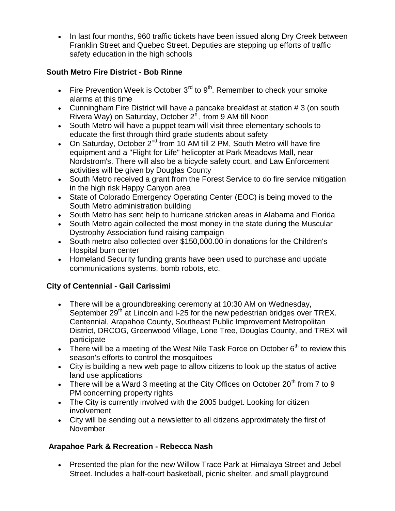• In last four months, 960 traffic tickets have been issued along Dry Creek between Franklin Street and Quebec Street. Deputies are stepping up efforts of traffic safety education in the high schools

## **South Metro Fire District - Bob Rinne**

- Fire Prevention Week is October  $3<sup>rd</sup>$  to  $9<sup>th</sup>$ . Remember to check your smoke alarms at this time
- Cunningham Fire District will have a pancake breakfast at station # 3 (on south Rivera Way) on Saturday, October  $2<sup>n</sup>$ , from 9 AM till Noon
- South Metro will have a puppet team will visit three elementary schools to educate the first through third grade students about safety
- On Saturday, October  $2^{nd}$  from 10 AM till 2 PM, South Metro will have fire equipment and a "Flight for Life" helicopter at Park Meadows Mall, near Nordstrom's. There will also be a bicycle safety court, and Law Enforcement activities will be given by Douglas County
- South Metro received a grant from the Forest Service to do fire service mitigation in the high risk Happy Canyon area
- State of Colorado Emergency Operating Center (EOC) is being moved to the South Metro administration building
- South Metro has sent help to hurricane stricken areas in Alabama and Florida
- South Metro again collected the most money in the state during the Muscular Dystrophy Association fund raising campaign
- South metro also collected over \$150,000.00 in donations for the Children's Hospital burn center
- Homeland Security funding grants have been used to purchase and update communications systems, bomb robots, etc.

# **City of Centennial - Gail Carissimi**

- There will be a groundbreaking ceremony at 10:30 AM on Wednesday, September  $29<sup>th</sup>$  at Lincoln and I-25 for the new pedestrian bridges over TREX. Centennial, Arapahoe County, Southeast Public Improvement Metropolitan District, DRCOG, Greenwood Village, Lone Tree, Douglas County, and TREX will participate
- There will be a meeting of the West Nile Task Force on October  $6<sup>th</sup>$  to review this season's efforts to control the mosquitoes
- City is building a new web page to allow citizens to look up the status of active land use applications
- There will be a Ward 3 meeting at the City Offices on October 20<sup>th</sup> from 7 to 9 PM concerning property rights
- The City is currently involved with the 2005 budget. Looking for citizen involvement
- City will be sending out a newsletter to all citizens approximately the first of November

# **Arapahoe Park & Recreation - Rebecca Nash**

 Presented the plan for the new Willow Trace Park at Himalaya Street and Jebel Street. Includes a half-court basketball, picnic shelter, and small playground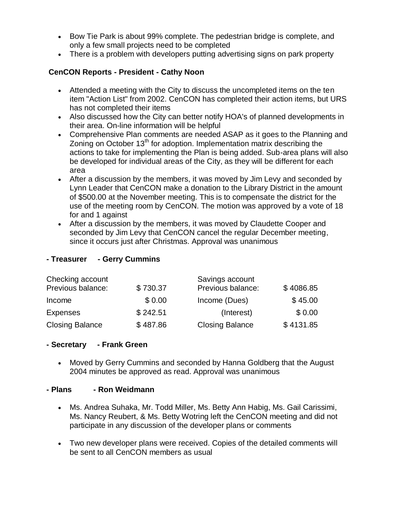- Bow Tie Park is about 99% complete. The pedestrian bridge is complete, and only a few small projects need to be completed
- There is a problem with developers putting advertising signs on park property

# **CenCON Reports - President - Cathy Noon**

- Attended a meeting with the City to discuss the uncompleted items on the ten item "Action List" from 2002. CenCON has completed their action items, but URS has not completed their items
- Also discussed how the City can better notify HOA's of planned developments in their area. On-line information will be helpful
- Comprehensive Plan comments are needed ASAP as it goes to the Planning and Zoning on October  $13<sup>th</sup>$  for adoption. Implementation matrix describing the actions to take for implementing the Plan is being added. Sub-area plans will also be developed for individual areas of the City, as they will be different for each area
- After a discussion by the members, it was moved by Jim Levy and seconded by Lynn Leader that CenCON make a donation to the Library District in the amount of \$500.00 at the November meeting. This is to compensate the district for the use of the meeting room by CenCON. The motion was approved by a vote of 18 for and 1 against
- After a discussion by the members, it was moved by Claudette Cooper and seconded by Jim Levy that CenCON cancel the regular December meeting, since it occurs just after Christmas. Approval was unanimous

## **- Treasurer - Gerry Cummins**

| Checking account       |          | Savings account        |           |
|------------------------|----------|------------------------|-----------|
| Previous balance:      | \$730.37 | Previous balance:      | \$4086.85 |
| Income                 | \$0.00   | Income (Dues)          | \$45.00   |
| <b>Expenses</b>        | \$242.51 | (Interest)             | \$0.00    |
| <b>Closing Balance</b> | \$487.86 | <b>Closing Balance</b> | \$4131.85 |

## **- Secretary - Frank Green**

 Moved by Gerry Cummins and seconded by Hanna Goldberg that the August 2004 minutes be approved as read. Approval was unanimous

#### **- Plans - Ron Weidmann**

- Ms. Andrea Suhaka, Mr. Todd Miller, Ms. Betty Ann Habig, Ms. Gail Carissimi, Ms. Nancy Reubert, & Ms. Betty Wotring left the CenCON meeting and did not participate in any discussion of the developer plans or comments
- Two new developer plans were received. Copies of the detailed comments will be sent to all CenCON members as usual